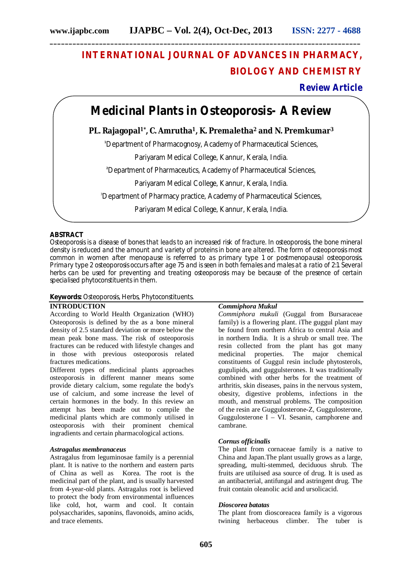# **INTERNATIONAL JOURNAL OF ADVANCES IN PHARMACY, BIOLOGY AND CHEMISTRY**

# **Review Article**

# **Medicinal Plants in Osteoporosis- A Review**

# **PL. Rajagopal1\*, C. Amrutha1, K. Premaletha<sup>2</sup> and N. Premkumar<sup>3</sup>**

**<sup>1</sup>**Department of Pharmacognosy, Academy of Pharmaceutical Sciences,

Pariyaram Medical College, Kannur, Kerala, India.

**<sup>2</sup>**Department of Pharmaceutics, Academy of Pharmaceutical Sciences,

Pariyaram Medical College, Kannur, Kerala, India.

<sup>3</sup>Department of Pharmacy practice, Academy of Pharmaceutical Sciences,

Pariyaram Medical College, Kannur, Kerala, India.

## **ABSTRACT**

Osteoporosis is a disease of bones that leads to an increased risk of fracture. In osteoporosis, the bone mineral density is reduced and the amount and variety of proteins in bone are altered. The form of osteoporosis most common in women after menopause is referred to as primary type 1 or postmenopausal osteoporosis. Primary type 2 osteoporosis occurs after age 75 and is seen in both females and males at a ratio of 2:1. Several herbs can be used for preventing and treating osteoporosis may be because of the presence of certain specialised phytoconstituents in them.

# **Keywords:** Osteoporosis, Herbs, Phytoconstituents.

# **INTRODUCTION**

According to World Health Organization (WHO) Osteoporosis is defined by the as a bone mineral density of 2.5 standard deviation or more below the mean peak bone mass. The risk of osteoporosis fractures can be reduced with lifestyle changes and in those with previous osteoporosis related fractures medications.

Different types of medicinal plants approaches osteoporosis in different manner means some provide dietary calcium, some regulate the body's use of calcium, and some increase the level of certain hormones in the body. In this review an attempt has been made out to compile the medicinal plants which are commonly utilised in osteoporosis with their prominent chemical ingradients and certain pharmacological actions.

### *Astragalus membranaceus*

Astragalus from leguminosae family is a perennial plant. It is native to the northern and eastern parts of China as well as Korea. The root is the medicinal part of the plant, and is usually harvested from 4-year-old plants. Astragalus root is believed to protect the body from environmental influences like cold, hot, warm and cool. It contain polysaccharides, saponins, flavonoids, amino acids, and trace elements.

# *Commiphora Mukul*

*Commiphora mukuli* (Guggal from Bursaraceae family) is a flowering plant. iThe guggul plant may be found from northern Africa to central Asia and in northern India. It is a shrub or small tree. The resin collected from the plant has got many<br>medicinal properties. The major chemical The major constituents of Guggul resin include phytosterols, gugulipids, and guggulsterones. It was traditionally combined with other herbs for the treatment of arthritis, skin diseases, pains in the nervous system, obesity, digestive problems, infections in the mouth, and menstrual problems. The composition of the resin are Guggulosterone-Z, Guggulosterone, Guggulosterone I – VI. Sesanin, camphorene and cambrane.

### *Cornus officinalis*

The plant from cornaceae family is a native to China and Japan.The plant usually grows as a large, spreading, multi-stemmed, deciduous shrub. The fruits are utiluised asa source of drug. It is used as an antibacterial, antifungal and astringent drug. The fruit contain oleanolic acid and ursolicacid.

### *Dioscorea batatas*

The plant from dioscoreacea family is a vigorous twining herbaceous climber. The tuber is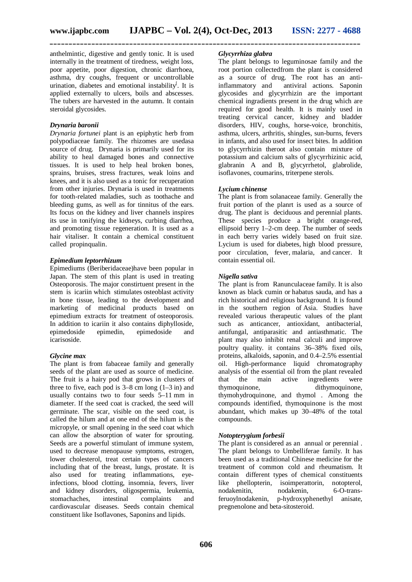**\_\_\_\_\_\_\_\_\_\_\_\_\_\_\_\_\_\_\_\_\_\_\_\_\_\_\_\_\_\_\_\_\_\_\_\_\_\_\_\_\_\_\_\_\_\_\_\_\_\_\_\_\_\_\_\_\_\_\_\_\_\_\_\_\_\_\_\_\_\_\_\_\_\_\_\_\_\_\_\_\_\_**

anthelmintic, digestive and gently tonic. It is used internally in the treatment of tiredness, weight loss, poor appetite, poor digestion, chronic diarrhoea, asthma, dry coughs, frequent or uncontrollable urination, diabetes and emotional instability<sup>[</sup>. It is applied externally to ulcers, boils and abscesses. The tubers are harvested in the autumn. It contain steroidal glycosides.

#### *Drynaria baronii*

*Drynaria fortunei* plant is an epiphytic herb from polypodiaceae family. The rhizomes are usedasa source of drug. Drynaria is primarily used for its ability to heal damaged bones and connective tissues. It is used to help heal broken bones, sprains, bruises, stress fractures, weak loins and knees, and it is also used as a tonic for recuperation from other injuries. Drynaria is used in treatments for tooth-related maladies, such as toothache and bleeding gums, as well as for tinnitus of the ears. Its focus on the kidney and liver channels inspires its use in tonifying the kidneys, curbing diarrhea, and promoting tissue regeneration. It is used as a hair vitaliser. It contain a chemical constituent called propinqualin.

#### *Epimedium leptorrhizum*

Epimediums (Beriberidaceae)have been popular in Japan. The stem of this plant is used in treating Osteoporosis. The major constirtuent present in the stem is icariin which stimulates osteoblast activity in bone tissue, leading to the development and marketing of medicinal products based on epimedium extracts for treatment of osteoporosis. In addition to icariin it also contains diphylloside, epimedoside epimedin, epimedoside and icarisoside.

#### *Glycine max*

The plant is from fabaceae family and generally seeds of the plant are used as source of medicine. The fruit is a hairy pod that grows in clusters of three to five, each pod is  $3-8$  cm long  $(1-3$  in) and usually contains two to four seeds 5–11 mm in diameter. If the seed coat is cracked, the seed will germinate. The scar, visible on the seed coat, is called the hilum and at one end of the hilum is the micropyle, or small opening in the seed coat which can allow the absorption of water for sprouting. Seeds are a powerful stimulant of immune system, used to decrease menopause symptoms, estrogen, lower cholesterol, treat certain types of cancers including that of the breast, lungs, prostate. It is also used for treating inflammations, eyeinfections, blood clotting, insomnia, fevers, liver and kidney disorders, oligospermia, leukemia, stomachaches, intestinal complaints and cardiovascular diseases. Seeds contain chemical constituent like Isoflavones, Saponins and lipids.

## *Glycyrrhiza glabra*

The plant belongs to leguminosae family and the root portion collectedfrom the plant is considered as a source of drug. The root has an antiinflammatory and antiviral actions. Saponin glycosides and glycyrrhizin are the important chemical ingradients present in the drug which are required for good health. It is mainly used in treating cervical cancer, kidney and bladder disorders, HIV, coughs, horse-voice, bronchitis, asthma, ulcers, arthritis, shingles, sun-burns, fevers in infants, and also used for insect bites. In addition to glycyrrhizin theroot also contain mixture of potassium and calcium salts of glycyrrhizinic acid, glabranin A and B, glycyrrhetol, glabrolide, isoflavones, coumarins, triterpene sterols.

#### *Lycium chinense*

The plant is from solanaceae family. Generally the fruit portion of the planrt is used as a source of drug. The plant is deciduous and perennial plants. These species produce a bright orange-red, ellipsoid berry  $1-2$ -cm deep. The number of seeds in each berry varies widely based on fruit size. Lycium is used for diabetes, high blood pressure, poor circulation, fever, malaria, and cancer. It contain essential oil.

#### *Nigella sativa*

The plant is from Ranunculaceae family. It is also known as black cumin or habatus sauda, and has a rich historical and religious background. It is found in the southern region of Asia. Studies have revealed various therapeutic values of the plant such as anticancer, antioxidant, antibacterial, antifungal, antiparasitic and antiasthmatic. The plant may also inhibit renal calculi and improve poultry quality. it contains 36–38% fixed oils, proteins, alkaloids, saponin, and 0.4–2.5% essential oil. High-performance liquid chromatography analysis of the essential oil from the plant revealed that the main active ingredients were thymoquinone, dithymoquinone, thymohydroquinone, and thymol . Among the compounds identified, thymoquinone is the most abundant, which makes up 30–48% of the total compounds.

#### *Notopterygium forbesii*

The plant is considered as an annual or perennial . The plant belongs to Umbelliferae family. It has been used as a traditional Chinese medicine for the treatment of common cold and rheumatism. It contain different types of chemical constituents like phellopterin, isoimperattorin, notopterol, nodakenitin, nodakenin, 6-O-transferuoylnodakenin, p-hydroxyphenethyl anisate, pregnenolone and beta-sitosteroid.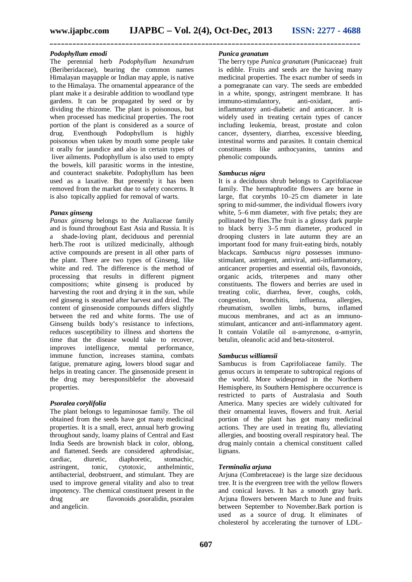**\_\_\_\_\_\_\_\_\_\_\_\_\_\_\_\_\_\_\_\_\_\_\_\_\_\_\_\_\_\_\_\_\_\_\_\_\_\_\_\_\_\_\_\_\_\_\_\_\_\_\_\_\_\_\_\_\_\_\_\_\_\_\_\_\_\_\_\_\_\_\_\_\_\_\_\_\_\_\_\_\_\_**

#### *Podophyllum emodi*

The perennial herb *Podophyllum hexandrum* (Beriberidaceae), bearing the common names Himalayan mayapple or Indian may apple, is native to the Himalaya. The ornamental appearance of the plant make it a desirable addition to woodland type gardens. It can be propagated by seed or by dividing the rhizome. The plant is poisonous, but when processed has medicinal properties. The root portion of the plant is considered as a source of drug. Eventhough Podophyllum is highly poisonous when taken by mouth some people take it orally for jaundice and also in certain types of liver ailments. Podophyllum is also used to empty the bowels, kill parasitic worms in the intestine, and counteract snakebite. Podophyllum has been used as a laxative. But presently it has been removed from the market due to safety concerns. It is also topically applied for removal of warts.

#### *Panax ginseng*

*Panax ginseng* belongs to the Araliaceae family and is found throughout East Asia and Russia. It is a shade-loving plant, deciduous and perennial herb.The root is utilized medicinally, although active compounds are present in all other parts of the plant. There are two types of Ginseng, like white and red. The difference is the method of processing that results in different pigment compositions; white ginseng is produced by harvesting the root and drying it in the sun, while red ginseng is steamed after harvest and dried. The content of ginsenoside compounds differs slightly between the red and white forms. The use of Ginseng builds body's resistance to infections, reduces susceptibility to illness and shortens the time that the disease would take to recover, improves intelligence, mental performance, immune function, increases stamina, combats fatigue, premature aging, lowers blood sugar and helps in treating cancer. The ginsenoside present in the drug may beresponsiblefor the abovesaid properties.

#### *Psoralea corylifolia*

The plant belongs to leguminosae family. The oil obtained from the seeds have got many medicinal properties. It is a small, erect, annual herb growing throughout sandy, loamy plains of Central and East India Seeds are brownish black in color, oblong, and flattened. Seeds are considered aphrodisiac, cardiac, diuretic, diaphoretic, astringent, tonic, cytotoxic, anthelmintic, antibacterial, deobstruent, and stimulant. They are used to improve general vitality and also to treat impotency. The chemical constituent present in the drug are flavonoids ,psoralidin, psoralen and angelicin.

#### *Punica granatum*

The berry type *Punica granatum* (Punicaceae) fruit is edible. Fruits and seeds are the having many medicinal properties. The exact number of seeds in a pomegranate can vary. The seeds are embedded in a white, spongy, astringent membrane. It has immuno-stimulantory, anti-oxidant, antiinflammatory anti-diabetic and anticancer. It is widely used in treating certain types of cancer including leukemia, breast, prostate and colon cancer, dysentery, diarrhea, excessive bleeding, intestinal worms and parasites. It contain chemical constituents like anthocyanins, tannins and phenolic compounds.

#### *Sambucus nigra*

It is a deciduous shrub belongs to Caprifoliaceae family. The hermaphrodite flowers are borne in large, flat corymbs 10–25 cm diameter in late spring to mid-summer, the individual flowers ivory white, 5–6 mm diameter, with five petals; they are pollinated by flies.The fruit is a glossy dark purple to black berry 3–5 mm diameter, produced in drooping clusters in late autumn they are an important food for many fruit-eating birds, notably blackcaps. *Sambucus nigra* possesses immunostimulant, astringent, antiviral, anti-inflammatory, anticancer properties and essential oils, flavonoids, organic acids, triterpenes and many other constituents. The flowers and berries are used in treating colic, diarrhea, fever, coughs, colds, congestion. bronchitis. influenza. allergies. congestion, bronchitis, influenza, allergies, rheumatism, swollen limbs, burns, inflamed mucous membranes, and act as an immunostimulant, anticancer and anti-inflammatory agent. It contain Volatile oil α-amyrenone, α-amyrin, betulin, oleanolic acid and beta-sitosterol.

#### *Sambucus williamsii*

Sambucus is from Caprifoliaceae family. The genus occurs in temperate to subtropical regions of the world. More widespread in the Northern Hemisphere, its Southern Hemisphere occurrence is restricted to parts of Australasia and South America. Many species are widely cultivated for their ornamental leaves, flowers and fruit. Aerial portion of the plant has got many medicinal actions. They are used in treating flu, alleviating allergies, and boosting overall respiratory heal. The drug mainly contain a chemical constituent called lignans.

#### *Terminalia arjuna*

Arjuna (Combretaceae) is the large size deciduous tree. It is the evergreen tree with the yellow flowers and conical leaves. It has a smooth gray bark. Arjuna flowers between March to June and fruits between September to November.Bark portion is used as a source of drug. It eliminates of cholesterol by accelerating the turnover of LDL-